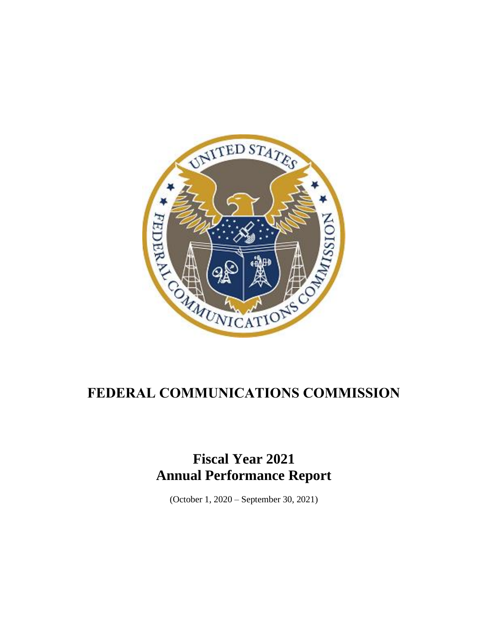

## **FEDERAL COMMUNICATIONS COMMISSION**

## **Fiscal Year 2021 Annual Performance Report**

(October 1, 2020 – September 30, 2021)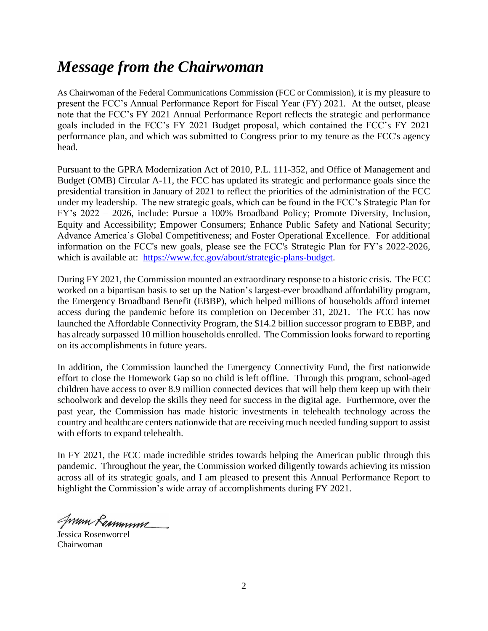## *Message from the Chairwoman*

As Chairwoman of the Federal Communications Commission (FCC or Commission), it is my pleasure to present the FCC's Annual Performance Report for Fiscal Year (FY) 2021. At the outset, please note that the FCC's FY 2021 Annual Performance Report reflects the strategic and performance goals included in the FCC's FY 2021 Budget proposal, which contained the FCC's FY 2021 performance plan, and which was submitted to Congress prior to my tenure as the FCC's agency head.

Pursuant to the GPRA Modernization Act of 2010, P.L. 111-352, and Office of Management and Budget (OMB) Circular A-11, the FCC has updated its strategic and performance goals since the presidential transition in January of 2021 to reflect the priorities of the administration of the FCC under my leadership. The new strategic goals, which can be found in the FCC's Strategic Plan for FY's 2022 – 2026, include: Pursue a 100% Broadband Policy; Promote Diversity, Inclusion, Equity and Accessibility; Empower Consumers; Enhance Public Safety and National Security; Advance America's Global Competitiveness; and Foster Operational Excellence. For additional information on the FCC's new goals, please see the FCC's Strategic Plan for FY's 2022-2026, which is available at: [https://www.fcc.gov/about/strategic-plans-budget.](https://www.fcc.gov/about/strategic-plans-budget)

During FY 2021, the Commission mounted an extraordinary response to a historic crisis. The FCC worked on a bipartisan basis to set up the Nation's largest-ever broadband affordability program, the Emergency Broadband Benefit (EBBP), which helped millions of households afford internet access during the pandemic before its completion on December 31, 2021. The FCC has now launched the Affordable Connectivity Program, the \$14.2 billion successor program to EBBP, and has already surpassed 10 million households enrolled. The Commission looks forward to reporting on its accomplishments in future years.

In addition, the Commission launched the Emergency Connectivity Fund, the first nationwide effort to close the Homework Gap so no child is left offline. Through this program, school-aged children have access to over 8.9 million connected devices that will help them keep up with their schoolwork and develop the skills they need for success in the digital age. Furthermore, over the past year, the Commission has made historic investments in telehealth technology across the country and healthcare centers nationwide that are receiving much needed funding support to assist with efforts to expand telehealth.

In FY 2021, the FCC made incredible strides towards helping the American public through this pandemic. Throughout the year, the Commission worked diligently towards achieving its mission across all of its strategic goals, and I am pleased to present this Annual Performance Report to highlight the Commission's wide array of accomplishments during FY 2021.

Summ Remmum

Jessica Rosenworcel Chairwoman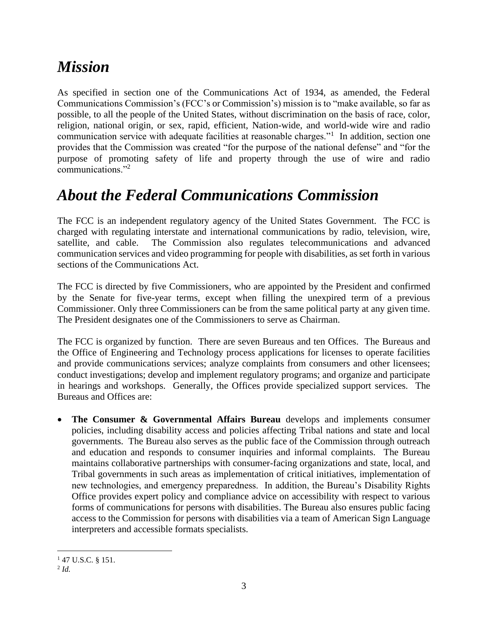# *Mission*

As specified in section one of the Communications Act of 1934, as amended, the Federal Communications Commission's (FCC's or Commission's) mission is to "make available, so far as possible, to all the people of the United States, without discrimination on the basis of race, color, religion, national origin, or sex, rapid, efficient, Nation-wide, and world-wide wire and radio communication service with adequate facilities at reasonable charges."<sup>1</sup> In addition, section one provides that the Commission was created "for the purpose of the national defense" and "for the purpose of promoting safety of life and property through the use of wire and radio communications."<sup>2</sup>

## *About the Federal Communications Commission*

The FCC is an independent regulatory agency of the United States Government. The FCC is charged with regulating interstate and international communications by radio, television, wire, satellite, and cable. The Commission also regulates telecommunications and advanced communication services and video programming for people with disabilities, as set forth in various sections of the Communications Act.

The FCC is directed by five Commissioners, who are appointed by the President and confirmed by the Senate for five-year terms, except when filling the unexpired term of a previous Commissioner. Only three Commissioners can be from the same political party at any given time. The President designates one of the Commissioners to serve as Chairman.

The FCC is organized by function. There are seven Bureaus and ten Offices. The Bureaus and the Office of Engineering and Technology process applications for licenses to operate facilities and provide communications services; analyze complaints from consumers and other licensees; conduct investigations; develop and implement regulatory programs; and organize and participate in hearings and workshops. Generally, the Offices provide specialized support services. The Bureaus and Offices are:

• **The Consumer & Governmental Affairs Bureau** develops and implements consumer policies, including disability access and policies affecting Tribal nations and state and local governments. The Bureau also serves as the public face of the Commission through outreach and education and responds to consumer inquiries and informal complaints. The Bureau maintains collaborative partnerships with consumer-facing organizations and state, local, and Tribal governments in such areas as implementation of critical initiatives, implementation of new technologies, and emergency preparedness. In addition, the Bureau's Disability Rights Office provides expert policy and compliance advice on accessibility with respect to various forms of communications for persons with disabilities. The Bureau also ensures public facing access to the Commission for persons with disabilities via a team of American Sign Language interpreters and accessible formats specialists.

 $147$  U.S.C. § 151.

<sup>2</sup> *Id.*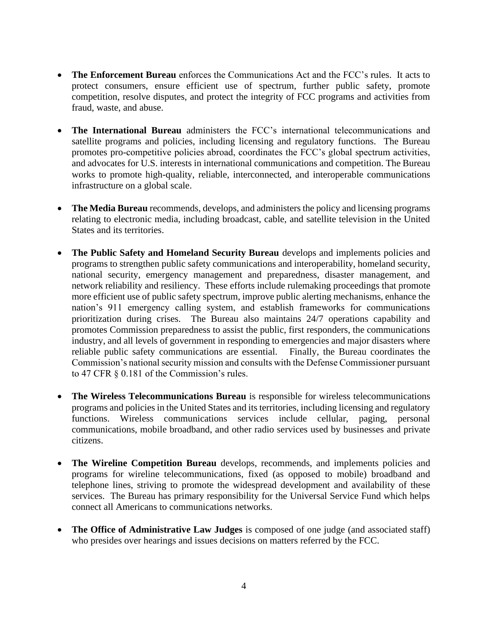- **The Enforcement Bureau** enforces the Communications Act and the FCC's rules. It acts to protect consumers, ensure efficient use of spectrum, further public safety, promote competition, resolve disputes, and protect the integrity of FCC programs and activities from fraud, waste, and abuse.
- **The International Bureau** administers the FCC's international telecommunications and satellite programs and policies, including licensing and regulatory functions. The Bureau promotes pro-competitive policies abroad, coordinates the FCC's global spectrum activities, and advocates for U.S. interests in international communications and competition. The Bureau works to promote high-quality, reliable, interconnected, and interoperable communications infrastructure on a global scale.
- **The Media Bureau** recommends, develops, and administers the policy and licensing programs relating to electronic media, including broadcast, cable, and satellite television in the United States and its territories.
- **The Public Safety and Homeland Security Bureau** develops and implements policies and programs to strengthen public safety communications and interoperability, homeland security, national security, emergency management and preparedness, disaster management, and network reliability and resiliency. These efforts include rulemaking proceedings that promote more efficient use of public safety spectrum, improve public alerting mechanisms, enhance the nation's 911 emergency calling system, and establish frameworks for communications prioritization during crises. The Bureau also maintains 24/7 operations capability and promotes Commission preparedness to assist the public, first responders, the communications industry, and all levels of government in responding to emergencies and major disasters where reliable public safety communications are essential. Finally, the Bureau coordinates the Commission's national security mission and consults with the Defense Commissioner pursuant to 47 CFR § 0.181 of the Commission's rules.
- **The Wireless Telecommunications Bureau** is responsible for wireless telecommunications programs and policies in the United States and its territories, including licensing and regulatory functions. Wireless communications services include cellular, paging, personal communications, mobile broadband, and other radio services used by businesses and private citizens.
- **The Wireline Competition Bureau** develops, recommends, and implements policies and programs for wireline telecommunications, fixed (as opposed to mobile) broadband and telephone lines, striving to promote the widespread development and availability of these services. The Bureau has primary responsibility for the Universal Service Fund which helps connect all Americans to communications networks.
- **The Office of Administrative Law Judges** is composed of one judge (and associated staff) who presides over hearings and issues decisions on matters referred by the FCC.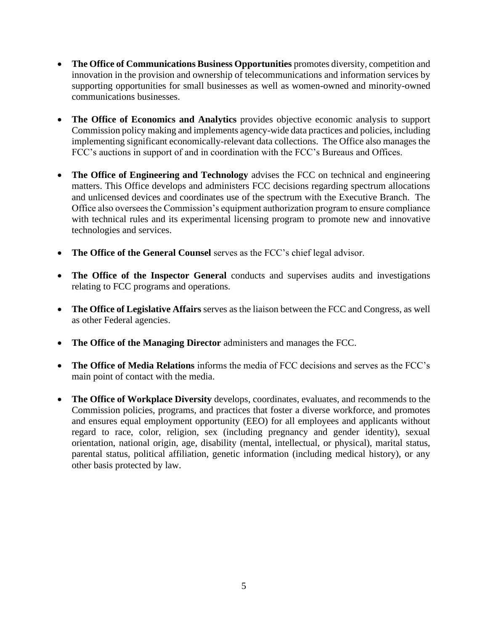- **The Office of Communications Business Opportunities** promotes diversity, competition and innovation in the provision and ownership of telecommunications and information services by supporting opportunities for small businesses as well as women-owned and minority-owned communications businesses.
- **The Office of Economics and Analytics** provides objective economic analysis to support Commission policy making and implements agency-wide data practices and policies, including implementing significant economically-relevant data collections. The Office also manages the FCC's auctions in support of and in coordination with the FCC's Bureaus and Offices.
- **The Office of Engineering and Technology** advises the FCC on technical and engineering matters. This Office develops and administers FCC decisions regarding spectrum allocations and unlicensed devices and coordinates use of the spectrum with the Executive Branch. The Office also oversees the Commission's equipment authorization program to ensure compliance with technical rules and its experimental licensing program to promote new and innovative technologies and services.
- **The Office of the General Counsel** serves as the FCC's chief legal advisor.
- **The Office of the Inspector General** conducts and supervises audits and investigations relating to FCC programs and operations.
- **The Office of Legislative Affairs** serves as the liaison between the FCC and Congress, as well as other Federal agencies.
- **The Office of the Managing Director** administers and manages the FCC.
- **The Office of Media Relations** informs the media of FCC decisions and serves as the FCC's main point of contact with the media.
- **The Office of Workplace Diversity** develops, coordinates, evaluates, and recommends to the Commission policies, programs, and practices that foster a diverse workforce, and promotes and ensures equal employment opportunity (EEO) for all employees and applicants without regard to race, color, religion, sex (including pregnancy and gender identity), sexual orientation, national origin, age, disability (mental, intellectual, or physical), marital status, parental status, political affiliation, genetic information (including medical history), or any other basis protected by law.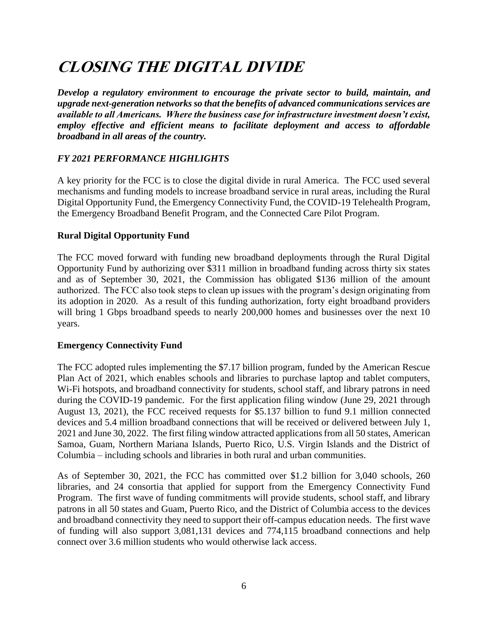# **CLOSING THE DIGITAL DIVIDE**

*Develop a regulatory environment to encourage the private sector to build, maintain, and upgrade next-generation networks so that the benefits of advanced communications services are available to all Americans. Where the business case for infrastructure investment doesn't exist, employ effective and efficient means to facilitate deployment and access to affordable broadband in all areas of the country.*

### *FY 2021 PERFORMANCE HIGHLIGHTS*

A key priority for the FCC is to close the digital divide in rural America. The FCC used several mechanisms and funding models to increase broadband service in rural areas, including the Rural Digital Opportunity Fund, the Emergency Connectivity Fund, the COVID-19 Telehealth Program, the Emergency Broadband Benefit Program, and the Connected Care Pilot Program.

### **Rural Digital Opportunity Fund**

The FCC moved forward with funding new broadband deployments through the Rural Digital Opportunity Fund by authorizing over \$311 million in broadband funding across thirty six states and as of September 30, 2021, the Commission has obligated \$136 million of the amount authorized. The FCC also took steps to clean up issues with the program's design originating from its adoption in 2020. As a result of this funding authorization, forty eight broadband providers will bring 1 Gbps broadband speeds to nearly 200,000 homes and businesses over the next 10 years.

#### **Emergency Connectivity Fund**

The FCC adopted rules implementing the \$7.17 billion program, funded by the American Rescue Plan Act of 2021, which enables schools and libraries to purchase laptop and tablet computers, Wi-Fi hotspots, and broadband connectivity for students, school staff, and library patrons in need during the COVID-19 pandemic. For the first application filing window (June 29, 2021 through August 13, 2021), the FCC received requests for \$5.137 billion to fund 9.1 million connected devices and 5.4 million broadband connections that will be received or delivered between July 1, 2021 and June 30, 2022. The first filing window attracted applications from all 50 states, American Samoa, Guam, Northern Mariana Islands, Puerto Rico, U.S. Virgin Islands and the District of Columbia – including schools and libraries in both rural and urban communities.

As of September 30, 2021, the FCC has committed over \$1.2 billion for 3,040 schools, 260 libraries, and 24 consortia that applied for support from the Emergency Connectivity Fund Program. The first wave of funding commitments will provide students, school staff, and library patrons in all 50 states and Guam, Puerto Rico, and the District of Columbia access to the devices and broadband connectivity they need to support their off-campus education needs. The first wave of funding will also support 3,081,131 devices and 774,115 broadband connections and help connect over 3.6 million students who would otherwise lack access.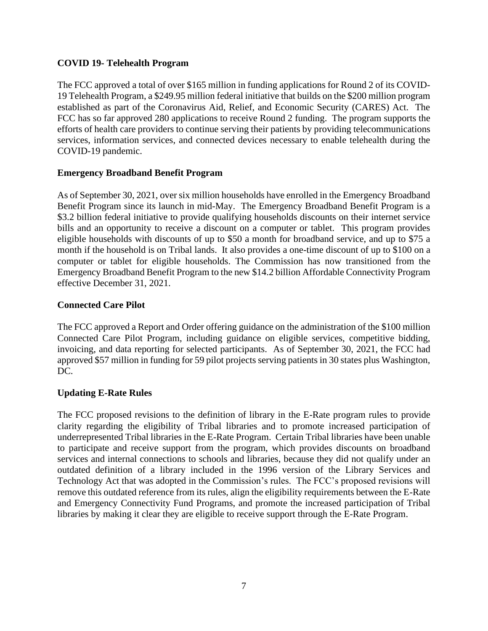#### **COVID 19- Telehealth Program**

The FCC approved a total of over \$165 million in funding applications for Round 2 of its COVID-19 Telehealth Program, a \$249.95 million federal initiative that builds on the \$200 million program established as part of the Coronavirus Aid, Relief, and Economic Security (CARES) Act. The FCC has so far approved 280 applications to receive Round 2 funding. The program supports the efforts of health care providers to continue serving their patients by providing telecommunications services, information services, and connected devices necessary to enable telehealth during the COVID-19 pandemic.

#### **Emergency Broadband Benefit Program**

As of September 30, 2021, over six million households have enrolled in the Emergency Broadband Benefit Program since its launch in mid-May. The Emergency Broadband Benefit Program is a \$3.2 billion federal initiative to provide qualifying households discounts on their internet service bills and an opportunity to receive a discount on a computer or tablet. This program provides eligible households with discounts of up to \$50 a month for broadband service, and up to \$75 a month if the household is on Tribal lands. It also provides a one-time discount of up to \$100 on a computer or tablet for eligible households. The Commission has now transitioned from the Emergency Broadband Benefit Program to the new \$14.2 billion Affordable Connectivity Program effective December 31, 2021.

#### **Connected Care Pilot**

The FCC approved a Report and Order offering guidance on the administration of the \$100 million Connected Care Pilot Program, including guidance on eligible services, competitive bidding, invoicing, and data reporting for selected participants. As of September 30, 2021, the FCC had approved \$57 million in funding for 59 pilot projects serving patients in 30 states plus Washington, DC.

#### **Updating E-Rate Rules**

The FCC proposed revisions to the definition of library in the E-Rate program rules to provide clarity regarding the eligibility of Tribal libraries and to promote increased participation of underrepresented Tribal libraries in the E-Rate Program. Certain Tribal libraries have been unable to participate and receive support from the program, which provides discounts on broadband services and internal connections to schools and libraries, because they did not qualify under an outdated definition of a library included in the 1996 version of the Library Services and Technology Act that was adopted in the Commission's rules. The FCC's proposed revisions will remove this outdated reference from its rules, align the eligibility requirements between the E-Rate and Emergency Connectivity Fund Programs, and promote the increased participation of Tribal libraries by making it clear they are eligible to receive support through the E-Rate Program.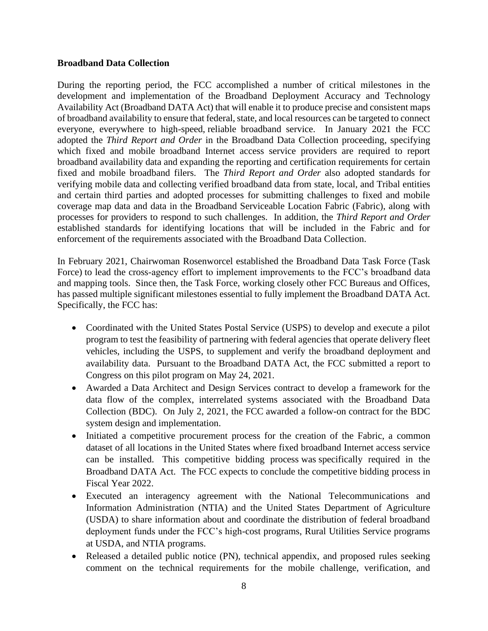#### **Broadband Data Collection**

During the reporting period, the FCC accomplished a number of critical milestones in the development and implementation of the Broadband Deployment Accuracy and Technology Availability Act (Broadband DATA Act) that will enable it to produce precise and consistent maps of broadband availability to ensure that federal, state, and local resources can be targeted to connect everyone, everywhere to high-speed, reliable broadband service. In January 2021 the FCC adopted the *Third Report and Order* in the Broadband Data Collection proceeding, specifying which fixed and mobile broadband Internet access service providers are required to report broadband availability data and expanding the reporting and certification requirements for certain fixed and mobile broadband filers. The *Third Report and Order* also adopted standards for verifying mobile data and collecting verified broadband data from state, local, and Tribal entities and certain third parties and adopted processes for submitting challenges to fixed and mobile coverage map data and data in the Broadband Serviceable Location Fabric (Fabric), along with processes for providers to respond to such challenges. In addition, the *Third Report and Order* established standards for identifying locations that will be included in the Fabric and for enforcement of the requirements associated with the Broadband Data Collection.

In February 2021, Chairwoman Rosenworcel established the Broadband Data Task Force (Task Force) to lead the cross-agency effort to implement improvements to the FCC's broadband data and mapping tools. Since then, the Task Force, working closely other FCC Bureaus and Offices, has passed multiple significant milestones essential to fully implement the Broadband DATA Act. Specifically, the FCC has:

- Coordinated with the United States Postal Service (USPS) to develop and execute a pilot program to test the feasibility of partnering with federal agencies that operate delivery fleet vehicles, including the USPS, to supplement and verify the broadband deployment and availability data. Pursuant to the Broadband DATA Act, the FCC submitted a report to Congress on this pilot program on May 24, 2021.
- Awarded a Data Architect and Design Services contract to develop a framework for the data flow of the complex, interrelated systems associated with the Broadband Data Collection (BDC). On July 2, 2021, the FCC awarded a follow-on contract for the BDC system design and implementation.
- Initiated a competitive procurement process for the creation of the Fabric, a common dataset of all locations in the United States where fixed broadband Internet access service can be installed. This competitive bidding process was specifically required in the Broadband DATA Act. The FCC expects to conclude the competitive bidding process in Fiscal Year 2022.
- Executed an interagency agreement with the National Telecommunications and Information Administration (NTIA) and the United States Department of Agriculture (USDA) to share information about and coordinate the distribution of federal broadband deployment funds under the FCC's high-cost programs, Rural Utilities Service programs at USDA, and NTIA programs.
- Released a detailed public notice (PN), technical appendix, and proposed rules seeking comment on the technical requirements for the mobile challenge, verification, and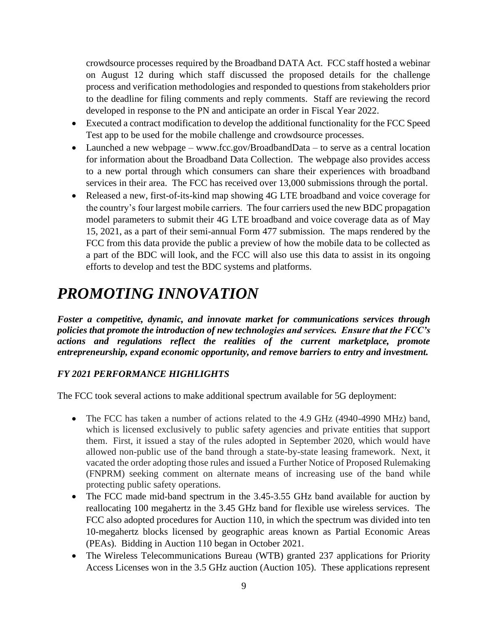crowdsource processes required by the Broadband DATA Act. FCC staff hosted a webinar on August 12 during which staff discussed the proposed details for the challenge process and verification methodologies and responded to questions from stakeholders prior to the deadline for filing comments and reply comments. Staff are reviewing the record developed in response to the PN and anticipate an order in Fiscal Year 2022.

- Executed a contract modification to develop the additional functionality for the FCC Speed Test app to be used for the mobile challenge and crowdsource processes.
- Launched a new webpage www.fcc.gov/BroadbandData to serve as a central location for information about the Broadband Data Collection. The webpage also provides access to a new portal through which consumers can share their experiences with broadband services in their area. The FCC has received over 13,000 submissions through the portal.
- Released a new, first-of-its-kind map showing 4G LTE broadband and voice coverage for the country's four largest mobile carriers. The four carriers used the new BDC propagation model parameters to submit their 4G LTE broadband and voice coverage data as of May 15, 2021, as a part of their semi-annual Form 477 submission. The maps rendered by the FCC from this data provide the public a preview of how the mobile data to be collected as a part of the BDC will look, and the FCC will also use this data to assist in its ongoing efforts to develop and test the BDC systems and platforms.

## *PROMOTING INNOVATION*

*Foster a competitive, dynamic, and innovate market for communications services through policies that promote the introduction of new technologies and services. Ensure that the FCC's actions and regulations reflect the realities of the current marketplace, promote entrepreneurship, expand economic opportunity, and remove barriers to entry and investment.* 

### *FY 2021 PERFORMANCE HIGHLIGHTS*

The FCC took several actions to make additional spectrum available for 5G deployment:

- The FCC has taken a number of actions related to the 4.9 GHz (4940-4990 MHz) band, which is licensed exclusively to public safety agencies and private entities that support them. First, it issued a stay of the rules adopted in September 2020, which would have allowed non-public use of the band through a state-by-state leasing framework. Next, it vacated the order adopting those rules and issued a Further Notice of Proposed Rulemaking (FNPRM) seeking comment on alternate means of increasing use of the band while protecting public safety operations.
- The FCC made mid-band spectrum in the 3.45-3.55 GHz band available for auction by reallocating 100 megahertz in the 3.45 GHz band for flexible use wireless services. The FCC also adopted procedures for Auction 110, in which the spectrum was divided into ten 10-megahertz blocks licensed by geographic areas known as Partial Economic Areas (PEAs). Bidding in Auction 110 began in October 2021.
- The Wireless Telecommunications Bureau (WTB) granted 237 applications for Priority Access Licenses won in the 3.5 GHz auction (Auction 105). These applications represent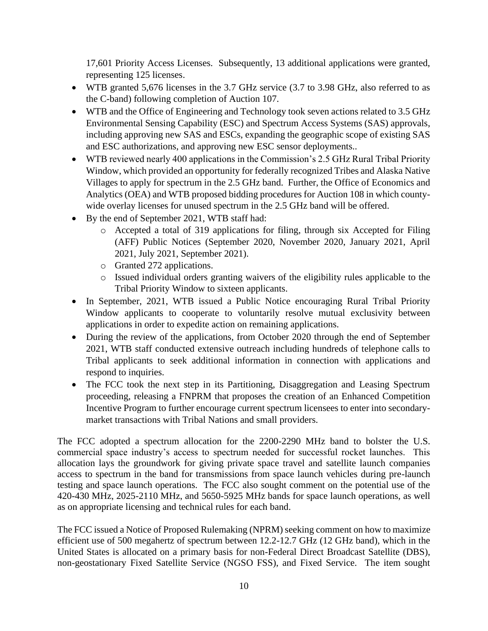17,601 Priority Access Licenses. Subsequently, 13 additional applications were granted, representing 125 licenses.

- WTB granted 5,676 licenses in the 3.7 GHz service (3.7 to 3.98 GHz, also referred to as the C-band) following completion of Auction 107.
- WTB and the Office of Engineering and Technology took seven actions related to 3.5 GHz Environmental Sensing Capability (ESC) and Spectrum Access Systems (SAS) approvals, including approving new SAS and ESCs, expanding the geographic scope of existing SAS and ESC authorizations, and approving new ESC sensor deployments..
- WTB reviewed nearly 400 applications in the Commission's 2.5 GHz Rural Tribal Priority Window, which provided an opportunity for federally recognized Tribes and Alaska Native Villages to apply for spectrum in the 2.5 GHz band. Further, the Office of Economics and Analytics (OEA) and WTB proposed bidding procedures for Auction 108 in which countywide overlay licenses for unused spectrum in the 2.5 GHz band will be offered.
- By the end of September 2021, WTB staff had:
	- o Accepted a total of 319 applications for filing, through six Accepted for Filing (AFF) Public Notices (September 2020, November 2020, January 2021, April 2021, July 2021, September 2021).
	- o Granted 272 applications.
	- o Issued individual orders granting waivers of the eligibility rules applicable to the Tribal Priority Window to sixteen applicants.
- In September, 2021, WTB issued a Public Notice encouraging Rural Tribal Priority Window applicants to cooperate to voluntarily resolve mutual exclusivity between applications in order to expedite action on remaining applications.
- During the review of the applications, from October 2020 through the end of September 2021, WTB staff conducted extensive outreach including hundreds of telephone calls to Tribal applicants to seek additional information in connection with applications and respond to inquiries.
- The FCC took the next step in its Partitioning, Disaggregation and Leasing Spectrum proceeding, releasing a FNPRM that proposes the creation of an Enhanced Competition Incentive Program to further encourage current spectrum licensees to enter into secondarymarket transactions with Tribal Nations and small providers.

The FCC adopted a spectrum allocation for the 2200-2290 MHz band to bolster the U.S. commercial space industry's access to spectrum needed for successful rocket launches. This allocation lays the groundwork for giving private space travel and satellite launch companies access to spectrum in the band for transmissions from space launch vehicles during pre-launch testing and space launch operations. The FCC also sought comment on the potential use of the 420-430 MHz, 2025-2110 MHz, and 5650-5925 MHz bands for space launch operations, as well as on appropriate licensing and technical rules for each band.

The FCC issued a Notice of Proposed Rulemaking (NPRM) seeking comment on how to maximize efficient use of 500 megahertz of spectrum between 12.2-12.7 GHz (12 GHz band), which in the United States is allocated on a primary basis for non-Federal Direct Broadcast Satellite (DBS), non-geostationary Fixed Satellite Service (NGSO FSS), and Fixed Service. The item sought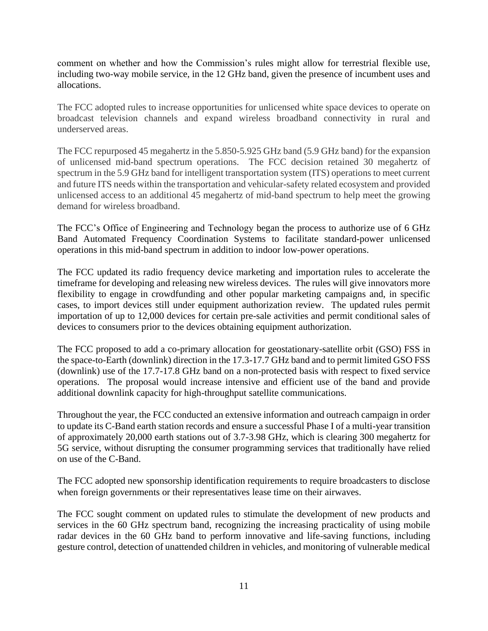comment on whether and how the Commission's rules might allow for terrestrial flexible use, including two-way mobile service, in the 12 GHz band, given the presence of incumbent uses and allocations.

The FCC adopted rules to increase opportunities for unlicensed white space devices to operate on broadcast television channels and expand wireless broadband connectivity in rural and underserved areas.

The FCC repurposed 45 megahertz in the 5.850-5.925 GHz band (5.9 GHz band) for the expansion of unlicensed mid-band spectrum operations. The FCC decision retained 30 megahertz of spectrum in the 5.9 GHz band for intelligent transportation system (ITS) operations to meet current and future ITS needs within the transportation and vehicular-safety related ecosystem and provided unlicensed access to an additional 45 megahertz of mid-band spectrum to help meet the growing demand for wireless broadband.

The FCC's Office of Engineering and Technology began the process to authorize use of 6 GHz Band Automated Frequency Coordination Systems to facilitate standard-power unlicensed operations in this mid-band spectrum in addition to indoor low-power operations.

The FCC updated its radio frequency device marketing and importation rules to accelerate the timeframe for developing and releasing new wireless devices. The rules will give innovators more flexibility to engage in crowdfunding and other popular marketing campaigns and, in specific cases, to import devices still under equipment authorization review. The updated rules permit importation of up to 12,000 devices for certain pre-sale activities and permit conditional sales of devices to consumers prior to the devices obtaining equipment authorization.

The FCC proposed to add a co-primary allocation for geostationary-satellite orbit (GSO) FSS in the space-to-Earth (downlink) direction in the 17.3-17.7 GHz band and to permit limited GSO FSS (downlink) use of the 17.7-17.8 GHz band on a non-protected basis with respect to fixed service operations. The proposal would increase intensive and efficient use of the band and provide additional downlink capacity for high-throughput satellite communications.

Throughout the year, the FCC conducted an extensive information and outreach campaign in order to update its C-Band earth station records and ensure a successful Phase I of a multi-year transition of approximately 20,000 earth stations out of 3.7-3.98 GHz, which is clearing 300 megahertz for 5G service, without disrupting the consumer programming services that traditionally have relied on use of the C-Band.

The FCC adopted new sponsorship identification requirements to require broadcasters to disclose when foreign governments or their representatives lease time on their airwaves.

The FCC sought comment on updated rules to stimulate the development of new products and services in the 60 GHz spectrum band, recognizing the increasing practicality of using mobile radar devices in the 60 GHz band to perform innovative and life-saving functions, including gesture control, detection of unattended children in vehicles, and monitoring of vulnerable medical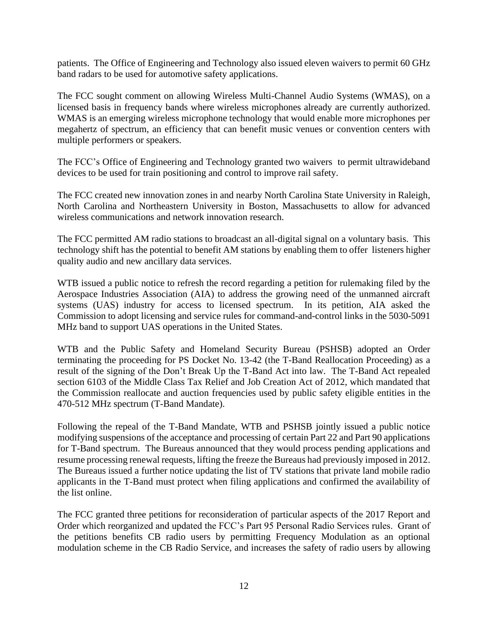patients. The Office of Engineering and Technology also issued eleven waivers to permit 60 GHz band radars to be used for automotive safety applications.

The FCC sought comment on allowing Wireless Multi-Channel Audio Systems (WMAS), on a licensed basis in frequency bands where wireless microphones already are currently authorized. WMAS is an emerging wireless microphone technology that would enable more microphones per megahertz of spectrum, an efficiency that can benefit music venues or convention centers with multiple performers or speakers.

The FCC's Office of Engineering and Technology granted two waivers to permit ultrawideband devices to be used for train positioning and control to improve rail safety.

The FCC created new innovation zones in and nearby North Carolina State University in Raleigh, North Carolina and Northeastern University in Boston, Massachusetts to allow for advanced wireless communications and network innovation research.

The FCC permitted AM radio stations to broadcast an all-digital signal on a voluntary basis. This technology shift has the potential to benefit AM stations by enabling them to offer listeners higher quality audio and new ancillary data services.

WTB issued a public notice to refresh the record regarding a petition for rulemaking filed by the Aerospace Industries Association (AIA) to address the growing need of the unmanned aircraft systems (UAS) industry for access to licensed spectrum. In its petition, AIA asked the Commission to adopt licensing and service rules for command-and-control links in the 5030-5091 MHz band to support UAS operations in the United States.

WTB and the Public Safety and Homeland Security Bureau (PSHSB) adopted an Order terminating the proceeding for PS Docket No. 13-42 (the T-Band Reallocation Proceeding) as a result of the signing of the Don't Break Up the T-Band Act into law. The T-Band Act repealed section 6103 of the Middle Class Tax Relief and Job Creation Act of 2012, which mandated that the Commission reallocate and auction frequencies used by public safety eligible entities in the 470-512 MHz spectrum (T-Band Mandate).

Following the repeal of the T-Band Mandate, WTB and PSHSB jointly issued a public notice modifying suspensions of the acceptance and processing of certain Part 22 and Part 90 applications for T-Band spectrum. The Bureaus announced that they would process pending applications and resume processing renewal requests, lifting the freeze the Bureaus had previously imposed in 2012. The Bureaus issued a further notice updating the list of TV stations that private land mobile radio applicants in the T-Band must protect when filing applications and confirmed the availability of the list online.

The FCC granted three petitions for reconsideration of particular aspects of the 2017 Report and Order which reorganized and updated the FCC's Part 95 Personal Radio Services rules. Grant of the petitions benefits CB radio users by permitting Frequency Modulation as an optional modulation scheme in the CB Radio Service, and increases the safety of radio users by allowing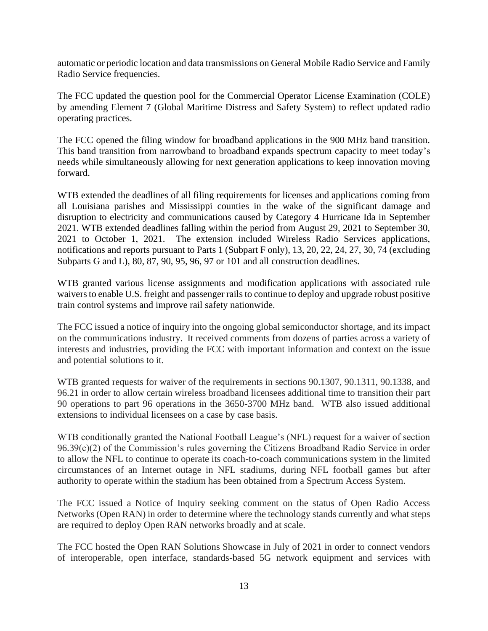automatic or periodic location and data transmissions on General Mobile Radio Service and Family Radio Service frequencies.

The FCC updated the question pool for the Commercial Operator License Examination (COLE) by amending Element 7 (Global Maritime Distress and Safety System) to reflect updated radio operating practices.

The FCC opened the filing window for broadband applications in the 900 MHz band transition. This band transition from narrowband to broadband expands spectrum capacity to meet today's needs while simultaneously allowing for next generation applications to keep innovation moving forward.

WTB extended the deadlines of all filing requirements for licenses and applications coming from all Louisiana parishes and Mississippi counties in the wake of the significant damage and disruption to electricity and communications caused by Category 4 Hurricane Ida in September 2021. WTB extended deadlines falling within the period from August 29, 2021 to September 30, 2021 to October 1, 2021. The extension included Wireless Radio Services applications, notifications and reports pursuant to Parts 1 (Subpart F only), 13, 20, 22, 24, 27, 30, 74 (excluding Subparts G and L), 80, 87, 90, 95, 96, 97 or 101 and all construction deadlines.

WTB granted various license assignments and modification applications with associated rule waivers to enable U.S. freight and passenger rails to continue to deploy and upgrade robust positive train control systems and improve rail safety nationwide.

The FCC issued a notice of inquiry into the ongoing global semiconductor shortage, and its impact on the communications industry. It received comments from dozens of parties across a variety of interests and industries, providing the FCC with important information and context on the issue and potential solutions to it.

WTB granted requests for waiver of the requirements in sections 90.1307, 90.1311, 90.1338, and 96.21 in order to allow certain wireless broadband licensees additional time to transition their part 90 operations to part 96 operations in the 3650-3700 MHz band. WTB also issued additional extensions to individual licensees on a case by case basis.

WTB conditionally granted the National Football League's (NFL) request for a waiver of section 96.39(c)(2) of the Commission's rules governing the Citizens Broadband Radio Service in order to allow the NFL to continue to operate its coach-to-coach communications system in the limited circumstances of an Internet outage in NFL stadiums, during NFL football games but after authority to operate within the stadium has been obtained from a Spectrum Access System.

The FCC issued a Notice of Inquiry seeking comment on the status of Open Radio Access Networks (Open RAN) in order to determine where the technology stands currently and what steps are required to deploy Open RAN networks broadly and at scale.

The FCC hosted the Open RAN Solutions Showcase in July of 2021 in order to connect vendors of interoperable, open interface, standards-based 5G network equipment and services with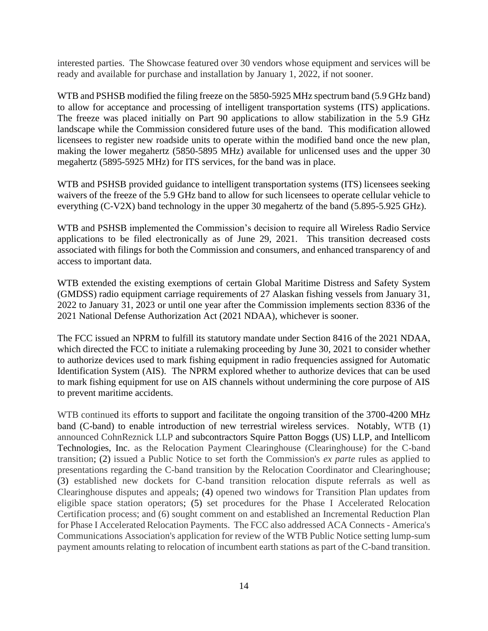interested parties. The Showcase featured over 30 vendors whose equipment and services will be ready and available for purchase and installation by January 1, 2022, if not sooner.

WTB and PSHSB modified the filing freeze on the 5850-5925 MHz spectrum band (5.9 GHz band) to allow for acceptance and processing of intelligent transportation systems (ITS) applications. The freeze was placed initially on Part 90 applications to allow stabilization in the 5.9 GHz landscape while the Commission considered future uses of the band. This modification allowed licensees to register new roadside units to operate within the modified band once the new plan, making the lower megahertz (5850-5895 MHz) available for unlicensed uses and the upper 30 megahertz (5895-5925 MHz) for ITS services, for the band was in place.

WTB and PSHSB provided guidance to intelligent transportation systems (ITS) licensees seeking waivers of the freeze of the 5.9 GHz band to allow for such licensees to operate cellular vehicle to everything (C-V2X) band technology in the upper 30 megahertz of the band (5.895-5.925 GHz).

WTB and PSHSB implemented the Commission's decision to require all Wireless Radio Service applications to be filed electronically as of June 29, 2021. This transition decreased costs associated with filings for both the Commission and consumers, and enhanced transparency of and access to important data.

WTB extended the existing exemptions of certain Global Maritime Distress and Safety System (GMDSS) radio equipment carriage requirements of 27 Alaskan fishing vessels from January 31, 2022 to January 31, 2023 or until one year after the Commission implements section 8336 of the 2021 National Defense Authorization Act (2021 NDAA), whichever is sooner.

The FCC issued an NPRM to fulfill its statutory mandate under Section 8416 of the 2021 NDAA, which directed the FCC to initiate a rulemaking proceeding by June 30, 2021 to consider whether to authorize devices used to mark fishing equipment in radio frequencies assigned for Automatic Identification System (AIS). The NPRM explored whether to authorize devices that can be used to mark fishing equipment for use on AIS channels without undermining the core purpose of AIS to prevent maritime accidents.

WTB continued its efforts to support and facilitate the ongoing transition of the 3700-4200 MHz band (C-band) to enable introduction of new terrestrial wireless services. Notably, WTB (1) announced CohnReznick LLP and subcontractors Squire Patton Boggs (US) LLP, and Intellicom Technologies, Inc. as the Relocation Payment Clearinghouse (Clearinghouse) for the C-band transition; (2) issued a Public Notice to set forth the Commission's *ex parte* rules as applied to presentations regarding the C-band transition by the Relocation Coordinator and Clearinghouse; (3) established new dockets for C-band transition relocation dispute referrals as well as Clearinghouse disputes and appeals; (4) opened two windows for Transition Plan updates from eligible space station operators; (5) set procedures for the Phase I Accelerated Relocation Certification process; and (6) sought comment on and established an Incremental Reduction Plan for Phase I Accelerated Relocation Payments. The FCC also addressed ACA Connects - America's Communications Association's application for review of the WTB Public Notice setting lump-sum payment amounts relating to relocation of incumbent earth stations as part of the C-band transition.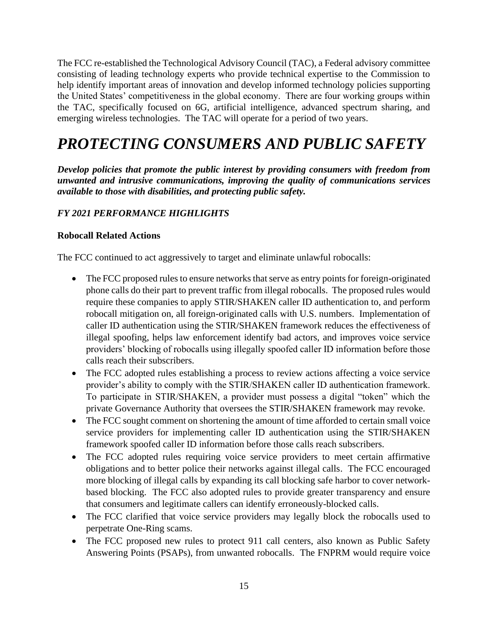The FCC re-established the Technological Advisory Council (TAC), a Federal advisory committee consisting of leading technology experts who provide technical expertise to the Commission to help identify important areas of innovation and develop informed technology policies supporting the United States' competitiveness in the global economy. There are four working groups within the TAC, specifically focused on 6G, artificial intelligence, advanced spectrum sharing, and emerging wireless technologies. The TAC will operate for a period of two years.

# *PROTECTING CONSUMERS AND PUBLIC SAFETY*

*Develop policies that promote the public interest by providing consumers with freedom from unwanted and intrusive communications, improving the quality of communications services available to those with disabilities, and protecting public safety.*

## *FY 2021 PERFORMANCE HIGHLIGHTS*

#### **Robocall Related Actions**

The FCC continued to act aggressively to target and eliminate unlawful robocalls:

- The FCC proposed rules to ensure networks that serve as entry points for foreign-originated phone calls do their part to prevent traffic from illegal robocalls. The proposed rules would require these companies to apply STIR/SHAKEN caller ID authentication to, and perform robocall mitigation on, all foreign-originated calls with U.S. numbers. Implementation of caller ID authentication using the STIR/SHAKEN framework reduces the effectiveness of illegal spoofing, helps law enforcement identify bad actors, and improves voice service providers' blocking of robocalls using illegally spoofed caller ID information before those calls reach their subscribers.
- The FCC adopted rules establishing a process to review actions affecting a voice service provider's ability to comply with the STIR/SHAKEN caller ID authentication framework. To participate in STIR/SHAKEN, a provider must possess a digital "token" which the private Governance Authority that oversees the STIR/SHAKEN framework may revoke.
- The FCC sought comment on shortening the amount of time afforded to certain small voice service providers for implementing caller ID authentication using the STIR/SHAKEN framework spoofed caller ID information before those calls reach subscribers.
- The FCC adopted rules requiring voice service providers to meet certain affirmative obligations and to better police their networks against illegal calls. The FCC encouraged more blocking of illegal calls by expanding its call blocking safe harbor to cover networkbased blocking. The FCC also adopted rules to provide greater transparency and ensure that consumers and legitimate callers can identify erroneously-blocked calls.
- The FCC clarified that voice service providers may legally block the robocalls used to perpetrate One-Ring scams.
- The FCC proposed new rules to protect 911 call centers, also known as Public Safety Answering Points (PSAPs), from unwanted robocalls. The FNPRM would require voice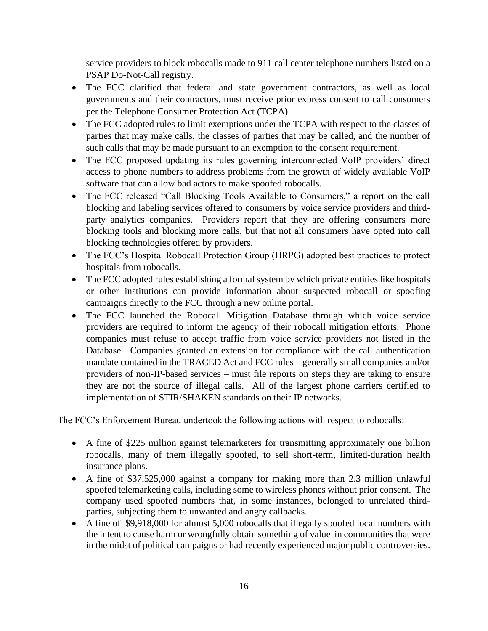service providers to block robocalls made to 911 call center telephone numbers listed on a PSAP Do-Not-Call registry.

- The FCC clarified that federal and state government contractors, as well as local governments and their contractors, must receive prior express consent to call consumers per the Telephone Consumer Protection Act (TCPA).
- The FCC adopted rules to limit exemptions under the TCPA with respect to the classes of parties that may make calls, the classes of parties that may be called, and the number of such calls that may be made pursuant to an exemption to the consent requirement.
- The FCC proposed updating its rules governing interconnected VoIP providers' direct access to phone numbers to address problems from the growth of widely available VoIP software that can allow bad actors to make spoofed robocalls.
- The FCC released "Call Blocking Tools Available to Consumers," a report on the call blocking and labeling services offered to consumers by voice service providers and thirdparty analytics companies. Providers report that they are offering consumers more blocking tools and blocking more calls, but that not all consumers have opted into call blocking technologies offered by providers.
- The FCC's Hospital Robocall Protection Group (HRPG) adopted best practices to protect hospitals from robocalls.
- The FCC adopted rules establishing a formal system by which private entities like hospitals or other institutions can provide information about suspected robocall or spoofing campaigns directly to the FCC through a new online portal.
- The FCC launched the Robocall Mitigation Database through which voice service providers are required to inform the agency of their robocall mitigation efforts. Phone companies must refuse to accept traffic from voice service providers not listed in the Database. Companies granted an extension for compliance with the call authentication mandate contained in the TRACED Act and FCC rules – generally small companies and/or providers of non-IP-based services – must file reports on steps they are taking to ensure they are not the source of illegal calls. All of the largest phone carriers certified to implementation of STIR/SHAKEN standards on their IP networks.

The FCC's Enforcement Bureau undertook the following actions with respect to robocalls:

- A fine of \$225 million against telemarketers for transmitting approximately one billion robocalls, many of them illegally spoofed, to sell short-term, limited-duration health insurance plans.
- A fine of \$37,525,000 against a company for making more than 2.3 million unlawful spoofed telemarketing calls, including some to wireless phones without prior consent. The company used spoofed numbers that, in some instances, belonged to unrelated thirdparties, subjecting them to unwanted and angry callbacks.
- A fine of \$9,918,000 for almost 5,000 robocalls that illegally spoofed local numbers with the intent to cause harm or wrongfully obtain something of value in communities that were in the midst of political campaigns or had recently experienced major public controversies.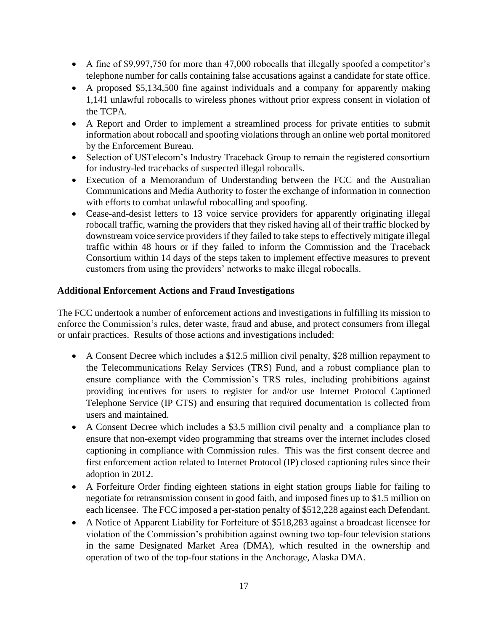- A fine of \$9,997,750 for more than 47,000 robocalls that illegally spoofed a competitor's telephone number for calls containing false accusations against a candidate for state office.
- A proposed \$5,134,500 fine against individuals and a company for apparently making 1,141 unlawful robocalls to wireless phones without prior express consent in violation of the TCPA.
- A Report and Order to implement a streamlined process for private entities to submit information about robocall and spoofing violations through an online web portal monitored by the Enforcement Bureau.
- Selection of USTelecom's Industry Traceback Group to remain the registered consortium for industry-led tracebacks of suspected illegal robocalls.
- Execution of a Memorandum of Understanding between the FCC and the Australian Communications and Media Authority to foster the exchange of information in connection with efforts to combat unlawful robocalling and spoofing.
- Cease-and-desist letters to 13 voice service providers for apparently originating illegal robocall traffic, warning the providers that they risked having all of their traffic blocked by downstream voice service providers if they failed to take steps to effectively mitigate illegal traffic within 48 hours or if they failed to inform the Commission and the Traceback Consortium within 14 days of the steps taken to implement effective measures to prevent customers from using the providers' networks to make illegal robocalls.

### **Additional Enforcement Actions and Fraud Investigations**

The FCC undertook a number of enforcement actions and investigations in fulfilling its mission to enforce the Commission's rules, deter waste, fraud and abuse, and protect consumers from illegal or unfair practices. Results of those actions and investigations included:

- A Consent Decree which includes a \$12.5 million civil penalty, \$28 million repayment to the Telecommunications Relay Services (TRS) Fund, and a robust compliance plan to ensure compliance with the Commission's TRS rules, including prohibitions against providing incentives for users to register for and/or use Internet Protocol Captioned Telephone Service (IP CTS) and ensuring that required documentation is collected from users and maintained.
- A Consent Decree which includes a \$3.5 million civil penalty and a compliance plan to ensure that non-exempt video programming that streams over the internet includes closed captioning in compliance with Commission rules. This was the first consent decree and first enforcement action related to Internet Protocol (IP) closed captioning rules since their adoption in 2012.
- A Forfeiture Order finding eighteen stations in eight station groups liable for failing to negotiate for retransmission consent in good faith, and imposed fines up to \$1.5 million on each licensee. The FCC imposed a per-station penalty of \$512,228 against each Defendant.
- A Notice of Apparent Liability for Forfeiture of \$518,283 against a broadcast licensee for violation of the Commission's prohibition against owning two top-four television stations in the same Designated Market Area (DMA), which resulted in the ownership and operation of two of the top-four stations in the Anchorage, Alaska DMA.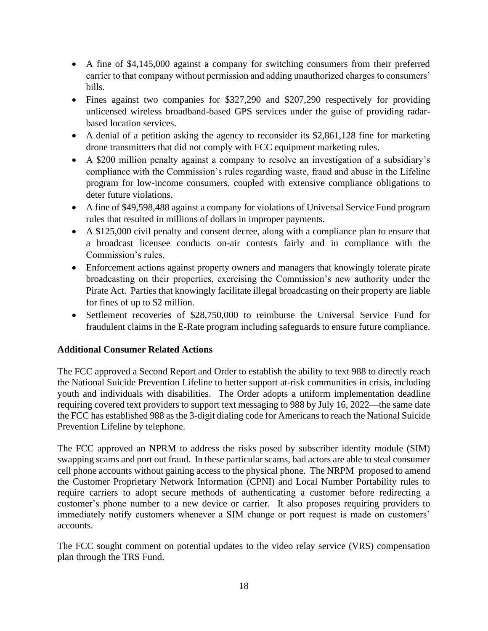- A fine of \$4,145,000 against a company for switching consumers from their preferred carrier to that company without permission and adding unauthorized charges to consumers' bills.
- Fines against two companies for \$327,290 and \$207,290 respectively for providing unlicensed wireless broadband-based GPS services under the guise of providing radarbased location services.
- A denial of a petition asking the agency to reconsider its \$2,861,128 fine for marketing drone transmitters that did not comply with FCC equipment marketing rules.
- A \$200 million penalty against a company to resolve an investigation of a subsidiary's compliance with the Commission's rules regarding waste, fraud and abuse in the Lifeline program for low-income consumers, coupled with extensive compliance obligations to deter future violations.
- A fine of \$49,598,488 against a company for violations of Universal Service Fund program rules that resulted in millions of dollars in improper payments.
- A \$125,000 civil penalty and consent decree, along with a compliance plan to ensure that a broadcast licensee conducts on-air contests fairly and in compliance with the Commission's rules.
- Enforcement actions against property owners and managers that knowingly tolerate pirate broadcasting on their properties, exercising the Commission's new authority under the Pirate Act. Parties that knowingly facilitate illegal broadcasting on their property are liable for fines of up to \$2 million.
- Settlement recoveries of \$28,750,000 to reimburse the Universal Service Fund for fraudulent claims in the E-Rate program including safeguards to ensure future compliance.

### **Additional Consumer Related Actions**

The FCC approved a Second Report and Order to establish the ability to text 988 to directly reach the National Suicide Prevention Lifeline to better support at-risk communities in crisis, including youth and individuals with disabilities. The Order adopts a uniform implementation deadline requiring covered text providers to support text messaging to 988 by July 16, 2022—the same date the FCC has established 988 as the 3-digit dialing code for Americans to reach the National Suicide Prevention Lifeline by telephone.

The FCC approved an NPRM to address the risks posed by subscriber identity module (SIM) swapping scams and port out fraud. In these particular scams, bad actors are able to steal consumer cell phone accounts without gaining access to the physical phone. The NRPM proposed to amend the Customer Proprietary Network Information (CPNI) and Local Number Portability rules to require carriers to adopt secure methods of authenticating a customer before redirecting a customer's phone number to a new device or carrier. It also proposes requiring providers to immediately notify customers whenever a SIM change or port request is made on customers' accounts.

The FCC sought comment on potential updates to the video relay service (VRS) compensation plan through the TRS Fund.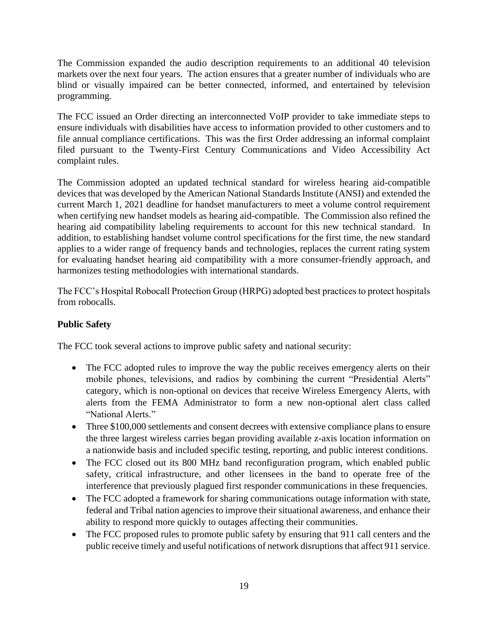The Commission expanded the audio description requirements to an additional 40 television markets over the next four years. The action ensures that a greater number of individuals who are blind or visually impaired can be better connected, informed, and entertained by television programming.

The FCC issued an Order directing an interconnected VoIP provider to take immediate steps to ensure individuals with disabilities have access to information provided to other customers and to file annual compliance certifications. This was the first Order addressing an informal complaint filed pursuant to the Twenty-First Century Communications and Video Accessibility Act complaint rules.

The Commission adopted an updated technical standard for wireless hearing aid-compatible devices that was developed by the American National Standards Institute (ANSI) and extended the current March 1, 2021 deadline for handset manufacturers to meet a volume control requirement when certifying new handset models as hearing aid-compatible. The Commission also refined the hearing aid compatibility labeling requirements to account for this new technical standard. In addition, to establishing handset volume control specifications for the first time, the new standard applies to a wider range of frequency bands and technologies, replaces the current rating system for evaluating handset hearing aid compatibility with a more consumer-friendly approach, and harmonizes testing methodologies with international standards.

The FCC's Hospital Robocall Protection Group (HRPG) adopted best practices to protect hospitals from robocalls.

## **Public Safety**

The FCC took several actions to improve public safety and national security:

- The FCC adopted rules to improve the way the public receives emergency alerts on their mobile phones, televisions, and radios by combining the current "Presidential Alerts" category, which is non-optional on devices that receive Wireless Emergency Alerts, with alerts from the FEMA Administrator to form a new non-optional alert class called "National Alerts."
- Three \$100,000 settlements and consent decrees with extensive compliance plans to ensure the three largest wireless carries began providing available z-axis location information on a nationwide basis and included specific testing, reporting, and public interest conditions.
- The FCC closed out its 800 MHz band reconfiguration program, which enabled public safety, critical infrastructure, and other licensees in the band to operate free of the interference that previously plagued first responder communications in these frequencies.
- The FCC adopted a framework for sharing communications outage information with state, federal and Tribal nation agencies to improve their situational awareness, and enhance their ability to respond more quickly to outages affecting their communities.
- The FCC proposed rules to promote public safety by ensuring that 911 call centers and the public receive timely and useful notifications of network disruptions that affect 911 service.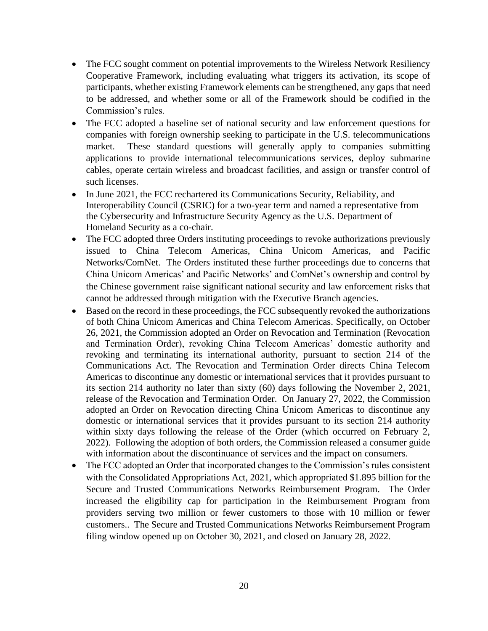- The FCC sought comment on potential improvements to the Wireless Network Resiliency Cooperative Framework, including evaluating what triggers its activation, its scope of participants, whether existing Framework elements can be strengthened, any gaps that need to be addressed, and whether some or all of the Framework should be codified in the Commission's rules.
- The FCC adopted a baseline set of national security and law enforcement questions for companies with foreign ownership seeking to participate in the U.S. telecommunications market. These standard questions will generally apply to companies submitting applications to provide international telecommunications services, deploy submarine cables, operate certain wireless and broadcast facilities, and assign or transfer control of such licenses.
- In June 2021, the FCC rechartered its Communications Security, Reliability, and Interoperability Council (CSRIC) for a two-year term and named a representative from the Cybersecurity and Infrastructure Security Agency as the U.S. Department of Homeland Security as a co-chair.
- The FCC adopted three Orders instituting proceedings to revoke authorizations previously issued to China Telecom Americas, China Unicom Americas, and Pacific Networks/ComNet. The Orders instituted these further proceedings due to concerns that China Unicom Americas' and Pacific Networks' and ComNet's ownership and control by the Chinese government raise significant national security and law enforcement risks that cannot be addressed through mitigation with the Executive Branch agencies.
- Based on the record in these proceedings, the FCC subsequently revoked the authorizations of both China Unicom Americas and China Telecom Americas. Specifically, on October 26, 2021, the Commission adopted an Order on Revocation and Termination (Revocation and Termination Order), revoking China Telecom Americas' domestic authority and revoking and terminating its international authority, pursuant to section 214 of the Communications Act. The Revocation and Termination Order directs China Telecom Americas to discontinue any domestic or international services that it provides pursuant to its section 214 authority no later than sixty (60) days following the November 2, 2021, release of the Revocation and Termination Order. On January 27, 2022, the Commission adopted an Order on Revocation directing China Unicom Americas to discontinue any domestic or international services that it provides pursuant to its section 214 authority within sixty days following the release of the Order (which occurred on February 2, 2022). Following the adoption of both orders, the Commission released a consumer guide with information about the discontinuance of services and the impact on consumers.
- The FCC adopted an Order that incorporated changes to the Commission's rules consistent with the Consolidated Appropriations Act, 2021, which appropriated \$1.895 billion for the Secure and Trusted Communications Networks Reimbursement Program. The Order increased the eligibility cap for participation in the Reimbursement Program from providers serving two million or fewer customers to those with 10 million or fewer customers.. The Secure and Trusted Communications Networks Reimbursement Program filing window opened up on October 30, 2021, and closed on January 28, 2022.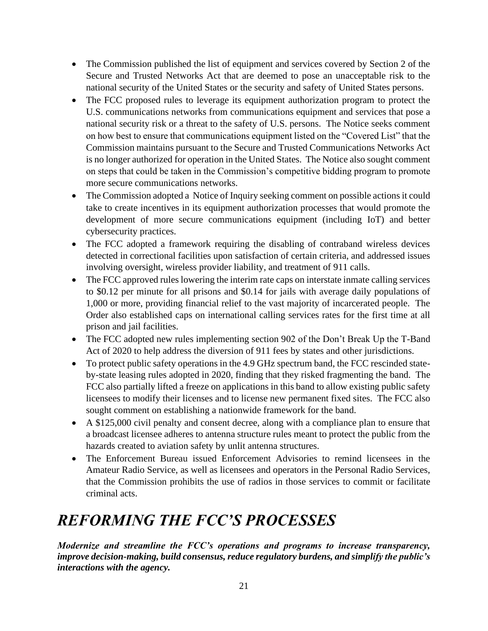- The Commission published the list of equipment and services covered by Section 2 of the Secure and Trusted Networks Act that are deemed to pose an unacceptable risk to the national security of the United States or the security and safety of United States persons.
- The FCC proposed rules to leverage its equipment authorization program to protect the U.S. communications networks from communications equipment and services that pose a national security risk or a threat to the safety of U.S. persons. The Notice seeks comment on how best to ensure that communications equipment listed on the "Covered List" that the Commission maintains pursuant to the Secure and Trusted Communications Networks Act is no longer authorized for operation in the United States. The Notice also sought comment on steps that could be taken in the Commission's competitive bidding program to promote more secure communications networks.
- The Commission adopted a Notice of Inquiry seeking comment on possible actions it could take to create incentives in its equipment authorization processes that would promote the development of more secure communications equipment (including IoT) and better cybersecurity practices.
- The FCC adopted a framework requiring the disabling of contraband wireless devices detected in correctional facilities upon satisfaction of certain criteria, and addressed issues involving oversight, wireless provider liability, and treatment of 911 calls.
- The FCC approved rules lowering the interim rate caps on interstate inmate calling services to \$0.12 per minute for all prisons and \$0.14 for jails with average daily populations of 1,000 or more, providing financial relief to the vast majority of incarcerated people. The Order also established caps on international calling services rates for the first time at all prison and jail facilities.
- The FCC adopted new rules implementing section 902 of the Don't Break Up the T-Band Act of 2020 to help address the diversion of 911 fees by states and other jurisdictions.
- To protect public safety operations in the 4.9 GHz spectrum band, the FCC rescinded stateby-state leasing rules adopted in 2020, finding that they risked fragmenting the band. The FCC also partially lifted a freeze on applications in this band to allow existing public safety licensees to modify their licenses and to license new permanent fixed sites. The FCC also sought comment on establishing a nationwide framework for the band.
- A \$125,000 civil penalty and consent decree, along with a compliance plan to ensure that a broadcast licensee adheres to antenna structure rules meant to protect the public from the hazards created to aviation safety by unlit antenna structures.
- The Enforcement Bureau issued Enforcement Advisories to remind licensees in the Amateur Radio Service, as well as licensees and operators in the Personal Radio Services, that the Commission prohibits the use of radios in those services to commit or facilitate criminal acts.

# *REFORMING THE FCC'S PROCESSES*

*Modernize and streamline the FCC's operations and programs to increase transparency, improve decision-making, build consensus, reduce regulatory burdens, and simplify the public's interactions with the agency.*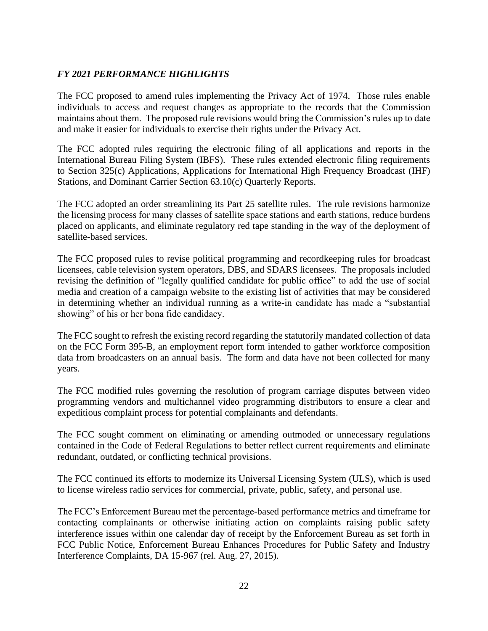## *FY 2021 PERFORMANCE HIGHLIGHTS*

The FCC proposed to amend rules implementing the Privacy Act of 1974. Those rules enable individuals to access and request changes as appropriate to the records that the Commission maintains about them. The proposed rule revisions would bring the Commission's rules up to date and make it easier for individuals to exercise their rights under the Privacy Act.

The FCC adopted rules requiring the electronic filing of all applications and reports in the International Bureau Filing System (IBFS). These rules extended electronic filing requirements to Section 325(c) Applications, Applications for International High Frequency Broadcast (IHF) Stations, and Dominant Carrier Section 63.10(c) Quarterly Reports.

The FCC adopted an order streamlining its Part 25 satellite rules. The rule revisions harmonize the licensing process for many classes of satellite space stations and earth stations, reduce burdens placed on applicants, and eliminate regulatory red tape standing in the way of the deployment of satellite-based services.

The FCC proposed rules to revise political programming and recordkeeping rules for broadcast licensees, cable television system operators, DBS, and SDARS licensees. The proposals included revising the definition of "legally qualified candidate for public office" to add the use of social media and creation of a campaign website to the existing list of activities that may be considered in determining whether an individual running as a write-in candidate has made a "substantial showing" of his or her bona fide candidacy.

The FCC sought to refresh the existing record regarding the statutorily mandated collection of data on the FCC Form 395-B, an employment report form intended to gather workforce composition data from broadcasters on an annual basis. The form and data have not been collected for many years.

The FCC modified rules governing the resolution of program carriage disputes between video programming vendors and multichannel video programming distributors to ensure a clear and expeditious complaint process for potential complainants and defendants.

The FCC sought comment on eliminating or amending outmoded or unnecessary regulations contained in the Code of Federal Regulations to better reflect current requirements and eliminate redundant, outdated, or conflicting technical provisions.

The FCC continued its efforts to modernize its Universal Licensing System (ULS), which is used to license wireless radio services for commercial, private, public, safety, and personal use.

The FCC's Enforcement Bureau met the percentage-based performance metrics and timeframe for contacting complainants or otherwise initiating action on complaints raising public safety interference issues within one calendar day of receipt by the Enforcement Bureau as set forth in FCC Public Notice, Enforcement Bureau Enhances Procedures for Public Safety and Industry Interference Complaints, DA 15-967 (rel. Aug. 27, 2015).